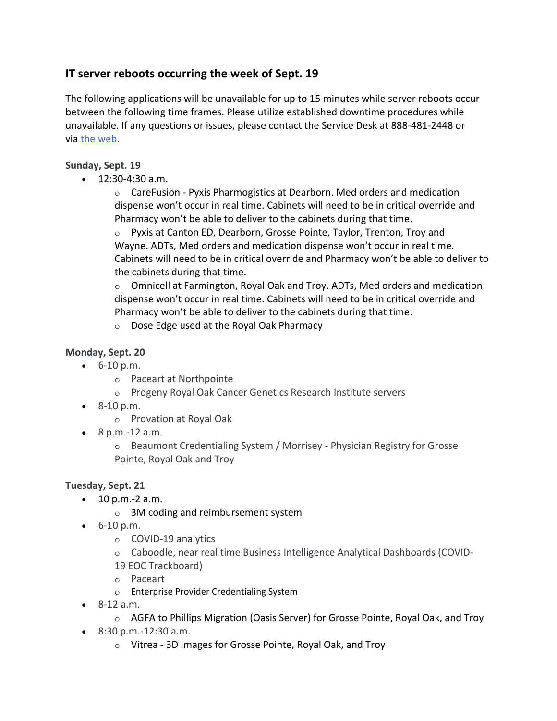# **IT server reboots occurring the week of Sept. 19**

The following applications will be unavailable for up to 15 minutes while server reboots occur between the following time frames. Please utilize established downtime procedures while unavailable. If any questions or issues, please contact the Service Desk at 888-481-2448 or via [the web.](https://services.ctsmartdesk.com/ServiceFocus/BMTH)

## **Sunday, Sept. 19**

• 12:30-4:30 a.m.

 $\circ$  CareFusion - Pyxis Pharmogistics at Dearborn. Med orders and medication dispense won't occur in real time. Cabinets will need to be in critical override and Pharmacy won't be able to deliver to the cabinets during that time.

o Pyxis at Canton ED, Dearborn, Grosse Pointe, Taylor, Trenton, Troy and Wayne. ADTs, Med orders and medication dispense won't occur in real time. Cabinets will need to be in critical override and Pharmacy won't be able to deliver to the cabinets during that time.

 $\circ$  Omnicell at Farmington, Royal Oak and Troy. ADTs, Med orders and medication dispense won't occur in real time. Cabinets will need to be in critical override and Pharmacy won't be able to deliver to the cabinets during that time.

o Dose Edge used at the Royal Oak Pharmacy

# **Monday, Sept. 20**

- $\bullet$  6-10 p.m.
	- o Paceart at Northpointe
	- o Progeny Royal Oak Cancer Genetics Research Institute servers
- 8-10 p.m.

o Provation at Royal Oak

• 8 p.m.-12 a.m.

o Beaumont Credentialing System / Morrisey - Physician Registry for Grosse Pointe, Royal Oak and Troy

# **Tuesday, Sept. 21**

- $\bullet$  10 p.m. -2 a.m.
	- o 3M coding and reimbursement system
- 6-10 p.m.
	- o COVID-19 analytics
	- o Caboodle, near real time Business Intelligence Analytical Dashboards (COVID-
	- 19 EOC Trackboard)
	- o Paceart
	- o Enterprise Provider Credentialing System
- 8-12 a.m.
	- $\circ$  AGFA to Phillips Migration (Oasis Server) for Grosse Pointe, Royal Oak, and Troy
- 8:30 p.m.-12:30 a.m.
	- o Vitrea 3D Images for Grosse Pointe, Royal Oak, and Troy